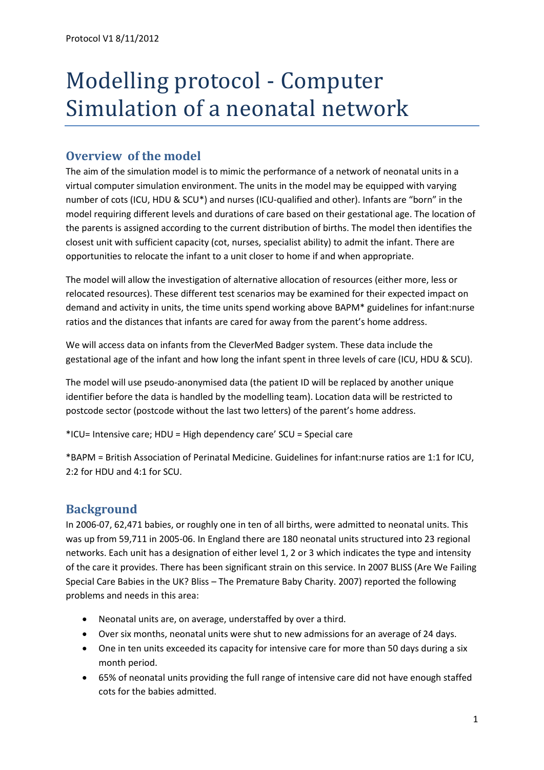# Modelling protocol - Computer Simulation of a neonatal network

# **Overview of the model**

The aim of the simulation model is to mimic the performance of a network of neonatal units in a virtual computer simulation environment. The units in the model may be equipped with varying number of cots (ICU, HDU & SCU\*) and nurses (ICU-qualified and other). Infants are "born" in the model requiring different levels and durations of care based on their gestational age. The location of the parents is assigned according to the current distribution of births. The model then identifies the closest unit with sufficient capacity (cot, nurses, specialist ability) to admit the infant. There are opportunities to relocate the infant to a unit closer to home if and when appropriate.

The model will allow the investigation of alternative allocation of resources (either more, less or relocated resources). These different test scenarios may be examined for their expected impact on demand and activity in units, the time units spend working above BAPM\* guidelines for infant:nurse ratios and the distances that infants are cared for away from the parent's home address.

We will access data on infants from the CleverMed Badger system. These data include the gestational age of the infant and how long the infant spent in three levels of care (ICU, HDU & SCU).

The model will use pseudo-anonymised data (the patient ID will be replaced by another unique identifier before the data is handled by the modelling team). Location data will be restricted to postcode sector (postcode without the last two letters) of the parent's home address.

\*ICU= Intensive care; HDU = High dependency care' SCU = Special care

\*BAPM = British Association of Perinatal Medicine. Guidelines for infant:nurse ratios are 1:1 for ICU, 2:2 for HDU and 4:1 for SCU.

# **Background**

In 2006-07, 62,471 babies, or roughly one in ten of all births, were admitted to neonatal units. This was up from 59,711 in 2005-06. In England there are 180 neonatal units structured into 23 regional networks. Each unit has a designation of either level 1, 2 or 3 which indicates the type and intensity of the care it provides. There has been significant strain on this service. In 2007 BLISS (Are We Failing Special Care Babies in the UK? Bliss – The Premature Baby Charity. 2007) reported the following problems and needs in this area:

- Neonatal units are, on average, understaffed by over a third.
- Over six months, neonatal units were shut to new admissions for an average of 24 days.
- One in ten units exceeded its capacity for intensive care for more than 50 days during a six month period.
- 65% of neonatal units providing the full range of intensive care did not have enough staffed cots for the babies admitted.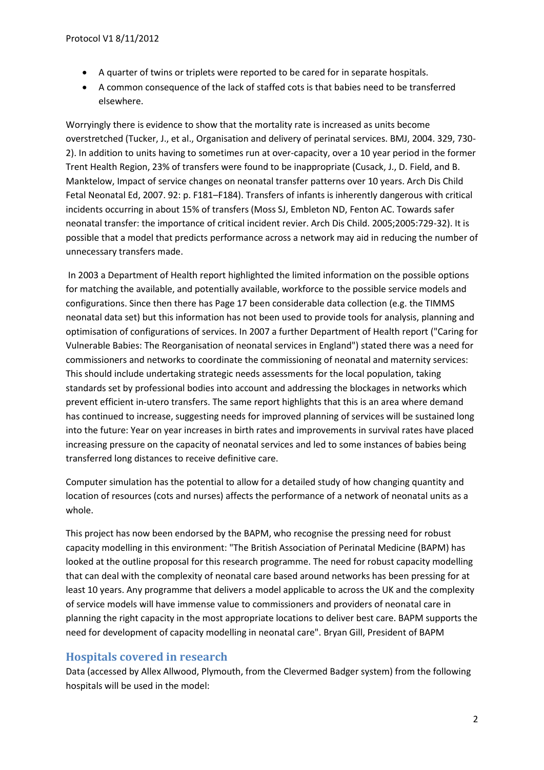- A quarter of twins or triplets were reported to be cared for in separate hospitals.
- A common consequence of the lack of staffed cots is that babies need to be transferred elsewhere.

Worryingly there is evidence to show that the mortality rate is increased as units become overstretched (Tucker, J., et al., Organisation and delivery of perinatal services. BMJ, 2004. 329, 730- 2). In addition to units having to sometimes run at over-capacity, over a 10 year period in the former Trent Health Region, 23% of transfers were found to be inappropriate (Cusack, J., D. Field, and B. Manktelow, Impact of service changes on neonatal transfer patterns over 10 years. Arch Dis Child Fetal Neonatal Ed, 2007. 92: p. F181–F184). Transfers of infants is inherently dangerous with critical incidents occurring in about 15% of transfers (Moss SJ, Embleton ND, Fenton AC. Towards safer neonatal transfer: the importance of critical incident revier. Arch Dis Child. 2005;2005:729-32). It is possible that a model that predicts performance across a network may aid in reducing the number of unnecessary transfers made.

In 2003 a Department of Health report highlighted the limited information on the possible options for matching the available, and potentially available, workforce to the possible service models and configurations. Since then there has Page 17 been considerable data collection (e.g. the TIMMS neonatal data set) but this information has not been used to provide tools for analysis, planning and optimisation of configurations of services. In 2007 a further Department of Health report ("Caring for Vulnerable Babies: The Reorganisation of neonatal services in England") stated there was a need for commissioners and networks to coordinate the commissioning of neonatal and maternity services: This should include undertaking strategic needs assessments for the local population, taking standards set by professional bodies into account and addressing the blockages in networks which prevent efficient in-utero transfers. The same report highlights that this is an area where demand has continued to increase, suggesting needs for improved planning of services will be sustained long into the future: Year on year increases in birth rates and improvements in survival rates have placed increasing pressure on the capacity of neonatal services and led to some instances of babies being transferred long distances to receive definitive care.

Computer simulation has the potential to allow for a detailed study of how changing quantity and location of resources (cots and nurses) affects the performance of a network of neonatal units as a whole.

This project has now been endorsed by the BAPM, who recognise the pressing need for robust capacity modelling in this environment: "The British Association of Perinatal Medicine (BAPM) has looked at the outline proposal for this research programme. The need for robust capacity modelling that can deal with the complexity of neonatal care based around networks has been pressing for at least 10 years. Any programme that delivers a model applicable to across the UK and the complexity of service models will have immense value to commissioners and providers of neonatal care in planning the right capacity in the most appropriate locations to deliver best care. BAPM supports the need for development of capacity modelling in neonatal care". Bryan Gill, President of BAPM

## **Hospitals covered in research**

Data (accessed by Allex Allwood, Plymouth, from the Clevermed Badger system) from the following hospitals will be used in the model: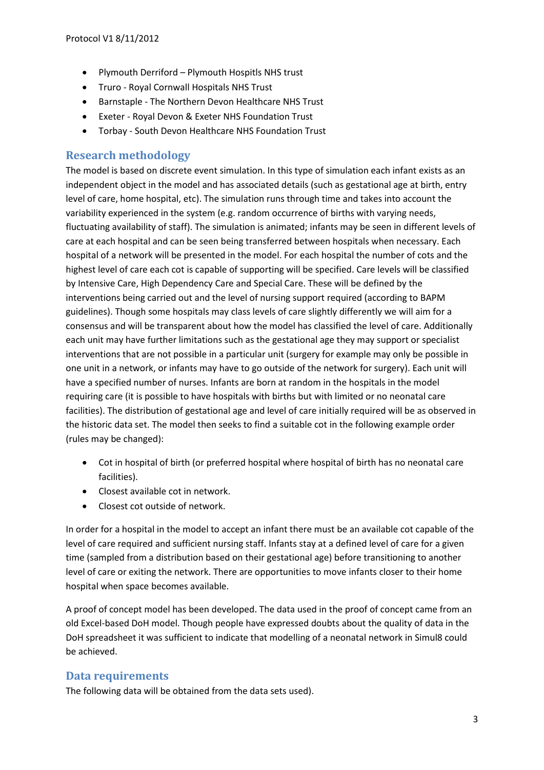- Plymouth Derriford Plymouth Hospitls NHS trust
- Truro Royal Cornwall Hospitals NHS Trust
- Barnstaple The Northern Devon Healthcare NHS Trust
- Exeter Royal Devon & Exeter NHS Foundation Trust
- Torbay South Devon Healthcare NHS Foundation Trust

## **Research methodology**

The model is based on discrete event simulation. In this type of simulation each infant exists as an independent object in the model and has associated details (such as gestational age at birth, entry level of care, home hospital, etc). The simulation runs through time and takes into account the variability experienced in the system (e.g. random occurrence of births with varying needs, fluctuating availability of staff). The simulation is animated; infants may be seen in different levels of care at each hospital and can be seen being transferred between hospitals when necessary. Each hospital of a network will be presented in the model. For each hospital the number of cots and the highest level of care each cot is capable of supporting will be specified. Care levels will be classified by Intensive Care, High Dependency Care and Special Care. These will be defined by the interventions being carried out and the level of nursing support required (according to BAPM guidelines). Though some hospitals may class levels of care slightly differently we will aim for a consensus and will be transparent about how the model has classified the level of care. Additionally each unit may have further limitations such as the gestational age they may support or specialist interventions that are not possible in a particular unit (surgery for example may only be possible in one unit in a network, or infants may have to go outside of the network for surgery). Each unit will have a specified number of nurses. Infants are born at random in the hospitals in the model requiring care (it is possible to have hospitals with births but with limited or no neonatal care facilities). The distribution of gestational age and level of care initially required will be as observed in the historic data set. The model then seeks to find a suitable cot in the following example order (rules may be changed):

- Cot in hospital of birth (or preferred hospital where hospital of birth has no neonatal care facilities).
- Closest available cot in network.
- Closest cot outside of network.

In order for a hospital in the model to accept an infant there must be an available cot capable of the level of care required and sufficient nursing staff. Infants stay at a defined level of care for a given time (sampled from a distribution based on their gestational age) before transitioning to another level of care or exiting the network. There are opportunities to move infants closer to their home hospital when space becomes available.

A proof of concept model has been developed. The data used in the proof of concept came from an old Excel-based DoH model. Though people have expressed doubts about the quality of data in the DoH spreadsheet it was sufficient to indicate that modelling of a neonatal network in Simul8 could be achieved.

## **Data requirements**

The following data will be obtained from the data sets used).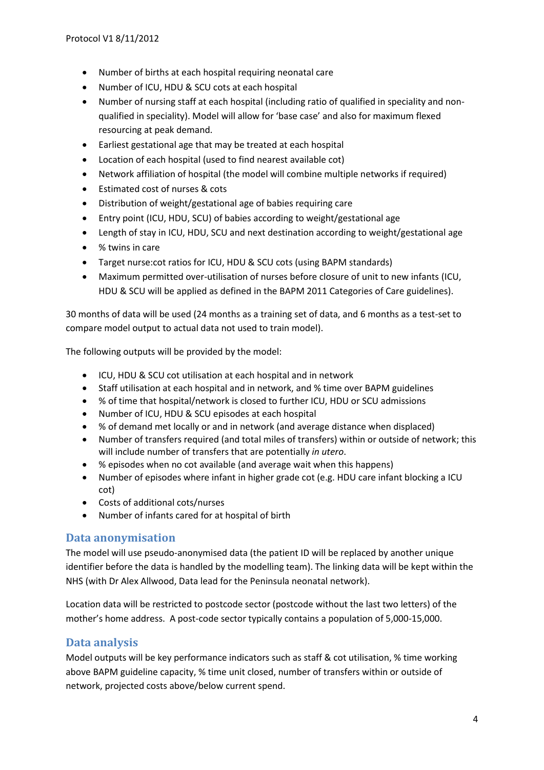- Number of births at each hospital requiring neonatal care
- Number of ICU, HDU & SCU cots at each hospital
- Number of nursing staff at each hospital (including ratio of qualified in speciality and nonqualified in speciality). Model will allow for 'base case' and also for maximum flexed resourcing at peak demand.
- Earliest gestational age that may be treated at each hospital
- Location of each hospital (used to find nearest available cot)
- Network affiliation of hospital (the model will combine multiple networks if required)
- Estimated cost of nurses & cots
- Distribution of weight/gestational age of babies requiring care
- Entry point (ICU, HDU, SCU) of babies according to weight/gestational age
- Length of stay in ICU, HDU, SCU and next destination according to weight/gestational age
- % twins in care
- Target nurse:cot ratios for ICU, HDU & SCU cots (using BAPM standards)
- Maximum permitted over-utilisation of nurses before closure of unit to new infants (ICU, HDU & SCU will be applied as defined in the BAPM 2011 Categories of Care guidelines).

30 months of data will be used (24 months as a training set of data, and 6 months as a test-set to compare model output to actual data not used to train model).

The following outputs will be provided by the model:

- ICU, HDU & SCU cot utilisation at each hospital and in network
- Staff utilisation at each hospital and in network, and % time over BAPM guidelines
- % of time that hospital/network is closed to further ICU, HDU or SCU admissions
- Number of ICU, HDU & SCU episodes at each hospital
- % of demand met locally or and in network (and average distance when displaced)
- Number of transfers required (and total miles of transfers) within or outside of network; this will include number of transfers that are potentially *in utero*.
- % episodes when no cot available (and average wait when this happens)
- Number of episodes where infant in higher grade cot (e.g. HDU care infant blocking a ICU cot)
- Costs of additional cots/nurses
- Number of infants cared for at hospital of birth

## **Data anonymisation**

The model will use pseudo-anonymised data (the patient ID will be replaced by another unique identifier before the data is handled by the modelling team). The linking data will be kept within the NHS (with Dr Alex Allwood, Data lead for the Peninsula neonatal network).

Location data will be restricted to postcode sector (postcode without the last two letters) of the mother's home address. A post-code sector typically contains a population of 5,000-15,000.

## **Data analysis**

Model outputs will be key performance indicators such as staff & cot utilisation, % time working above BAPM guideline capacity, % time unit closed, number of transfers within or outside of network, projected costs above/below current spend.